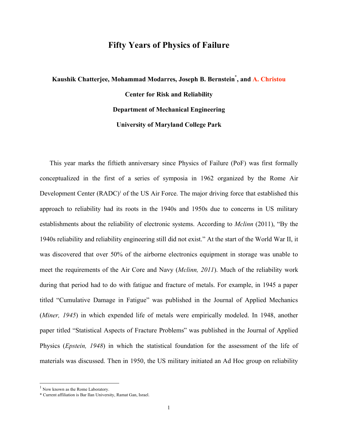## **Fifty Years of Physics of Failure**

## **Kaushik Chatterjee, Mohammad Modarres, Joseph B. Bernstein\* , and A. Christou Center for Risk and Reliability Department of Mechanical Engineering University of Maryland College Park**

This year marks the fiftieth anniversary since Physics of Failure (PoF) was first formally conceptualized in the first of a series of symposia in 1962 organized by the Rome Air Development Center (RADC)<sup>1</sup> of the US Air Force. The major driving force that established this approach to reliability had its roots in the 1940s and 1950s due to concerns in US military establishments about the reliability of electronic systems. According to *Mclinn* (2011), "By the 1940s reliability and reliability engineering still did not exist." At the start of the World War II, it was discovered that over 50% of the airborne electronics equipment in storage was unable to meet the requirements of the Air Core and Navy (*Mclinn, 2011*). Much of the reliability work during that period had to do with fatigue and fracture of metals. For example, in 1945 a paper titled "Cumulative Damage in Fatigue" was published in the Journal of Applied Mechanics (*Miner, 1945*) in which expended life of metals were empirically modeled. In 1948, another paper titled "Statistical Aspects of Fracture Problems" was published in the Journal of Applied Physics (*Epstein, 1948*) in which the statistical foundation for the assessment of the life of materials was discussed. Then in 1950, the US military initiated an Ad Hoc group on reliability

<sup>&</sup>lt;sup>1</sup> Now known as the Rome Laboratory.

<sup>\*</sup> Current affiliation is Bar Ilan University, Ramat Gan, Israel.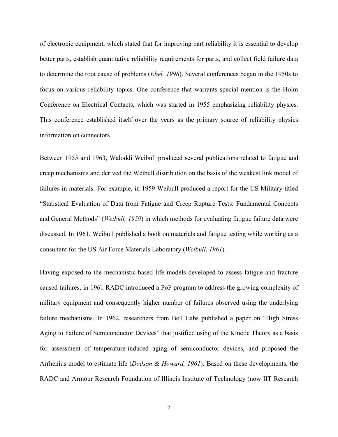of electronic equipment, which stated that for improving part reliability it is essential to develop better parts, establish quantitative reliability requirements for parts, and collect field failure data to determine the root cause of problems (*Ebel, 1998*). Several conferences began in the 1950s to focus on various reliability topics. One conference that warrants special mention is the Holm Conference on Electrical Contacts, which was started in 1955 emphasizing reliability physics. This conference established itself over the years as the primary source of reliability physics information on connectors.

Between 1955 and 1963, Waloddi Weibull produced several publications related to fatigue and creep mechanisms and derived the Weibull distribution on the basis of the weakest link model of failures in materials. For example, in 1959 Weibull produced a report for the US Military titled "Statistical Evaluation of Data from Fatigue and Creep Rupture Tests: Fundamental Concepts and General Methods" (*Weibull, 1959*) in which methods for evaluating fatigue failure data were discussed. In 1961, Weibull published a book on materials and fatigue testing while working as a consultant for the US Air Force Materials Laboratory (*Weibull, 1961*).

Having exposed to the mechanistic-based life models developed to assess fatigue and fracture caused failures, in 1961 RADC introduced a PoF program to address the growing complexity of military equipment and consequently higher number of failures observed using the underlying failure mechanisms. In 1962, researchers from Bell Labs published a paper on "High Stress Aging to Failure of Semiconductor Devices" that justified using of the Kinetic Theory as a basis for assessment of temperature-induced aging of semiconductor devices, and proposed the Arrhenius model to estimate life (*Dodson & Howard, 1961*). Based on these developments, the RADC and Armour Research Foundation of Illinois Institute of Technology (now IIT Research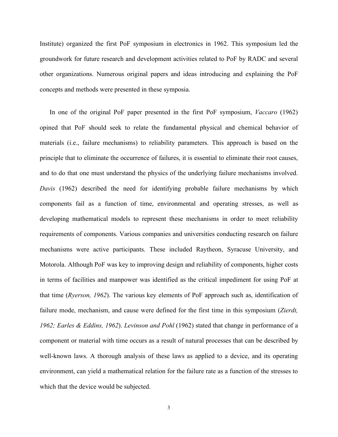Institute) organized the first PoF symposium in electronics in 1962. This symposium led the groundwork for future research and development activities related to PoF by RADC and several other organizations. Numerous original papers and ideas introducing and explaining the PoF concepts and methods were presented in these symposia.

In one of the original PoF paper presented in the first PoF symposium, *Vaccaro* (1962) opined that PoF should seek to relate the fundamental physical and chemical behavior of materials (i.e., failure mechanisms) to reliability parameters. This approach is based on the principle that to eliminate the occurrence of failures, it is essential to eliminate their root causes, and to do that one must understand the physics of the underlying failure mechanisms involved. *Davis* (1962) described the need for identifying probable failure mechanisms by which components fail as a function of time, environmental and operating stresses, as well as developing mathematical models to represent these mechanisms in order to meet reliability requirements of components. Various companies and universities conducting research on failure mechanisms were active participants. These included Raytheon, Syracuse University, and Motorola. Although PoF was key to improving design and reliability of components, higher costs in terms of facilities and manpower was identified as the critical impediment for using PoF at that time (*Ryerson, 1962*). The various key elements of PoF approach such as, identification of failure mode, mechanism, and cause were defined for the first time in this symposium (*Zierdt, 1962; Earles & Eddins, 1962*). *Levinson and Pohl* (1962) stated that change in performance of a component or material with time occurs as a result of natural processes that can be described by well-known laws. A thorough analysis of these laws as applied to a device, and its operating environment, can yield a mathematical relation for the failure rate as a function of the stresses to which that the device would be subjected.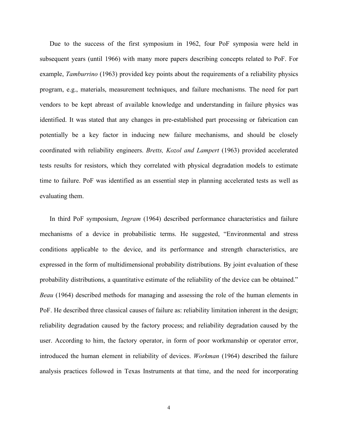Due to the success of the first symposium in 1962, four PoF symposia were held in subsequent years (until 1966) with many more papers describing concepts related to PoF. For example, *Tamburrino* (1963) provided key points about the requirements of a reliability physics program, e.g., materials, measurement techniques, and failure mechanisms. The need for part vendors to be kept abreast of available knowledge and understanding in failure physics was identified. It was stated that any changes in pre-established part processing or fabrication can potentially be a key factor in inducing new failure mechanisms, and should be closely coordinated with reliability engineers. *Bretts, Kozol and Lampert* (1963) provided accelerated tests results for resistors, which they correlated with physical degradation models to estimate time to failure. PoF was identified as an essential step in planning accelerated tests as well as evaluating them.

In third PoF symposium, *Ingram* (1964) described performance characteristics and failure mechanisms of a device in probabilistic terms. He suggested, "Environmental and stress conditions applicable to the device, and its performance and strength characteristics, are expressed in the form of multidimensional probability distributions. By joint evaluation of these probability distributions, a quantitative estimate of the reliability of the device can be obtained." *Beau* (1964) described methods for managing and assessing the role of the human elements in PoF. He described three classical causes of failure as: reliability limitation inherent in the design; reliability degradation caused by the factory process; and reliability degradation caused by the user. According to him, the factory operator, in form of poor workmanship or operator error, introduced the human element in reliability of devices. *Workman* (1964) described the failure analysis practices followed in Texas Instruments at that time, and the need for incorporating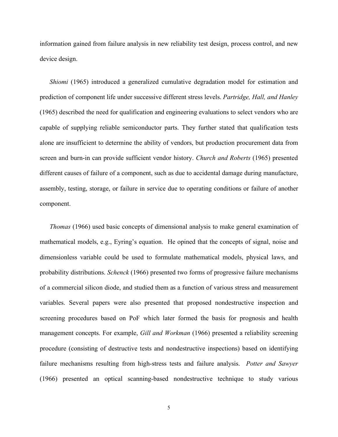information gained from failure analysis in new reliability test design, process control, and new device design.

*Shiomi* (1965) introduced a generalized cumulative degradation model for estimation and prediction of component life under successive different stress levels. *Partridge, Hall, and Hanley* (1965) described the need for qualification and engineering evaluations to select vendors who are capable of supplying reliable semiconductor parts. They further stated that qualification tests alone are insufficient to determine the ability of vendors, but production procurement data from screen and burn-in can provide sufficient vendor history. *Church and Roberts* (1965) presented different causes of failure of a component, such as due to accidental damage during manufacture, assembly, testing, storage, or failure in service due to operating conditions or failure of another component.

*Thomas* (1966) used basic concepts of dimensional analysis to make general examination of mathematical models, e.g., Eyring's equation. He opined that the concepts of signal, noise and dimensionless variable could be used to formulate mathematical models, physical laws, and probability distributions. *Schenck* (1966) presented two forms of progressive failure mechanisms of a commercial silicon diode, and studied them as a function of various stress and measurement variables. Several papers were also presented that proposed nondestructive inspection and screening procedures based on PoF which later formed the basis for prognosis and health management concepts. For example, *Gill and Workman* (1966) presented a reliability screening procedure (consisting of destructive tests and nondestructive inspections) based on identifying failure mechanisms resulting from high-stress tests and failure analysis. *Potter and Sawyer* (1966) presented an optical scanning-based nondestructive technique to study various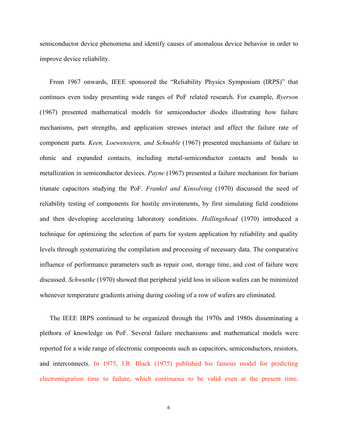semiconductor device phenomena and identify causes of anomalous device behavior in order to improve device reliability.

From 1967 onwards, IEEE sponsored the "Reliability Physics Symposium (IRPS)" that continues even today presenting wide ranges of PoF related research. For example, *Ryerson*  (1967) presented mathematical models for semiconductor diodes illustrating how failure mechanisms, part strengths, and application stresses interact and affect the failure rate of component parts. *Keen, Loewenstern, and Schnable* (1967) presented mechanisms of failure in ohmic and expanded contacts, including metal-semiconductor contacts and bonds to metallization in semiconductor devices. *Payne* (1967) presented a failure mechanism for barium titanate capacitors studying the PoF. *Frankel and Kinsolving* (1970) discussed the need of reliability testing of components for hostile environments, by first simulating field conditions and then developing accelerating laboratory conditions. *Hollingshead* (1970) introduced a technique for optimizing the selection of parts for system application by reliability and quality levels through systematizing the compilation and processing of necessary data. The comparative influence of performance parameters such as repair cost, storage time, and cost of failure were discussed. *Schwuttke* (1970) showed that peripheral yield loss in silicon wafers can be minimized whenever temperature gradients arising during cooling of a row of wafers are eliminated.

The IEEE IRPS continued to be organized through the 1970s and 1980s disseminating a plethora of knowledge on PoF. Several failure mechanisms and mathematical models were reported for a wide range of electronic components such as capacitors, semiconductors, resistors, and interconnects. In 1975, J.R. Black (1975) published his famous model for predicting electromigration time to failure, which continuous to be valid even at the present time.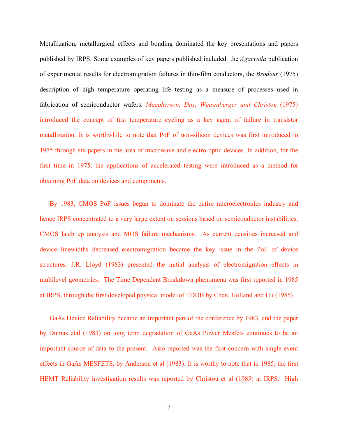Metallization, metallurgical effects and bonding dominated the key presentations and papers published by IRPS. Some examples of key papers published included the *Agarwala* publication of experimental results for electromigration failures in thin-film conductors, the *Brodeur* (1975) description of high temperature operating life testing as a measure of processes used in fabrication of semiconductor wafers. *Macpherson, Day, Weisenberger and Christou* (1975) introduced the concept of fast temperature cycling as a key agent of failure in transistor metallization. It is worthwhile to note that PoF of non-silicon devices was first introduced in 1975 through six papers in the area of microwave and electro-optic devices. In addition, for the first time in 1975, the applications of accelerated testing were introduced as a method for obtaining PoF data on devices and components.

By 1983, CMOS PoF issues began to dominate the entire microelectronics industry and hence IRPS concentrated to a very large extent on sessions based on semiconductor instabilities, CMOS latch up analysis and MOS failure mechanisms. As current densities increased and device linewidths decreased electromigration became the key issue in the PoF of device structures. J.R. Lloyd (1983) presented the initial analysis of electromigration effects in multilevel geometries. The Time Dependent Breakdown phenomena was first reported in 1985 at IRPS, through the first developed physical model of TDDB by Chen, Holland and Hu (1985)

GaAs Device Reliability became an important part of the conference by 1983, and the paper by Dumas etal (1983) on long term degradation of GaAs Power Mesfets continues to be an important source of data to the present. Also reported was the first concern with single event effects in GaAs MESFETS, by Anderson et al (1983). It is worthy to note that in 1985, the first HEMT Reliability investigation results was reported by Christou et al (1985) at IRPS. High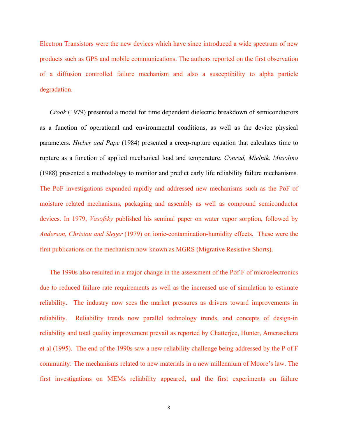Electron Transistors were the new devices which have since introduced a wide spectrum of new products such as GPS and mobile communications. The authors reported on the first observation of a diffusion controlled failure mechanism and also a susceptibility to alpha particle degradation.

*Crook* (1979) presented a model for time dependent dielectric breakdown of semiconductors as a function of operational and environmental conditions, as well as the device physical parameters. *Hieber and Pape* (1984) presented a creep-rupture equation that calculates time to rupture as a function of applied mechanical load and temperature. *Conrad, Mielnik, Musolino* (1988) presented a methodology to monitor and predict early life reliability failure mechanisms. The PoF investigations expanded rapidly and addressed new mechanisms such as the PoF of moisture related mechanisms, packaging and assembly as well as compound semiconductor devices. In 1979, *Vasofsky* published his seminal paper on water vapor sorption, followed by *Anderson, Christou and Sleger* (1979) on ionic-contamination-humidity effects. These were the first publications on the mechanism now known as MGRS (Migrative Resistive Shorts).

The 1990s also resulted in a major change in the assessment of the Pof F of microelectronics due to reduced failure rate requirements as well as the increased use of simulation to estimate reliability. The industry now sees the market pressures as drivers toward improvements in reliability. Reliability trends now parallel technology trends, and concepts of design-in reliability and total quality improvement prevail as reported by Chatterjee, Hunter, Amerasekera et al (1995). The end of the 1990s saw a new reliability challenge being addressed by the P of F community: The mechanisms related to new materials in a new millennium of Moore's law. The first investigations on MEMs reliability appeared, and the first experiments on failure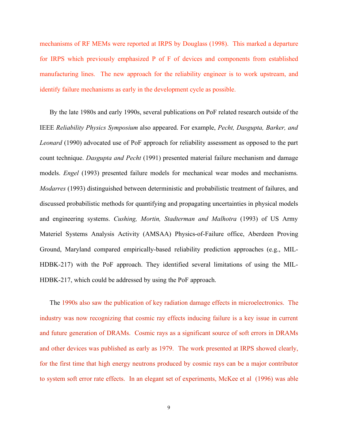mechanisms of RF MEMs were reported at IRPS by Douglass (1998). This marked a departure for IRPS which previously emphasized P of F of devices and components from established manufacturing lines. The new approach for the reliability engineer is to work upstream, and identify failure mechanisms as early in the development cycle as possible.

By the late 1980s and early 1990s, several publications on PoF related research outside of the IEEE *Reliability Physics Symposium* also appeared. For example, *Pecht, Dasgupta, Barker, and Leonard* (1990) advocated use of PoF approach for reliability assessment as opposed to the part count technique. *Dasgupta and Pecht* (1991) presented material failure mechanism and damage models. *Engel* (1993) presented failure models for mechanical wear modes and mechanisms. *Modarres* (1993) distinguished between deterministic and probabilistic treatment of failures, and discussed probabilistic methods for quantifying and propagating uncertainties in physical models and engineering systems. *Cushing, Mortin, Stadterman and Malhotra* (1993) of US Army Materiel Systems Analysis Activity (AMSAA) Physics-of-Failure office, Aberdeen Proving Ground, Maryland compared empirically-based reliability prediction approaches (e.g., MIL-HDBK-217) with the PoF approach. They identified several limitations of using the MIL-HDBK-217, which could be addressed by using the PoF approach.

The 1990s also saw the publication of key radiation damage effects in microelectronics. The industry was now recognizing that cosmic ray effects inducing failure is a key issue in current and future generation of DRAMs. Cosmic rays as a significant source of soft errors in DRAMs and other devices was published as early as 1979. The work presented at IRPS showed clearly, for the first time that high energy neutrons produced by cosmic rays can be a major contributor to system soft error rate effects. In an elegant set of experiments, McKee et al (1996) was able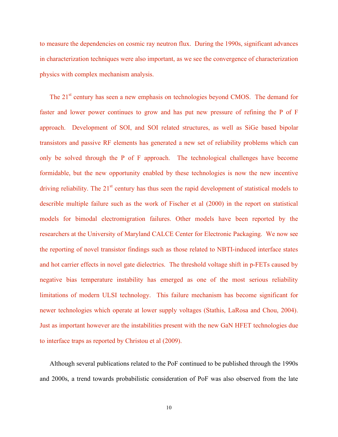to measure the dependencies on cosmic ray neutron flux. During the 1990s, significant advances in characterization techniques were also important, as we see the convergence of characterization physics with complex mechanism analysis.

The 21<sup>st</sup> century has seen a new emphasis on technologies beyond CMOS. The demand for faster and lower power continues to grow and has put new pressure of refining the P of F approach. Development of SOI, and SOI related structures, as well as SiGe based bipolar transistors and passive RF elements has generated a new set of reliability problems which can only be solved through the P of F approach. The technological challenges have become formidable, but the new opportunity enabled by these technologies is now the new incentive driving reliability. The  $21<sup>st</sup>$  century has thus seen the rapid development of statistical models to describle multiple failure such as the work of Fischer et al (2000) in the report on statistical models for bimodal electromigration failures. Other models have been reported by the researchers at the University of Maryland CALCE Center for Electronic Packaging. We now see the reporting of novel transistor findings such as those related to NBTI-induced interface states and hot carrier effects in novel gate dielectrics. The threshold voltage shift in p-FETs caused by negative bias temperature instability has emerged as one of the most serious reliability limitations of modern ULSI technology. This failure mechanism has become significant for newer technologies which operate at lower supply voltages (Stathis, LaRosa and Chou, 2004). Just as important however are the instabilities present with the new GaN HFET technologies due to interface traps as reported by Christou et al (2009).

Although several publications related to the PoF continued to be published through the 1990s and 2000s, a trend towards probabilistic consideration of PoF was also observed from the late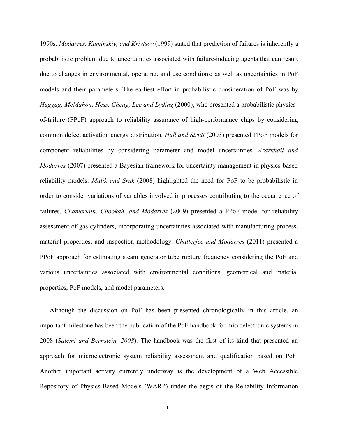1990s. *Modarres, Kaminskiy, and Krivtsov* (1999) stated that prediction of failures is inherently a probabilistic problem due to uncertainties associated with failure-inducing agents that can result due to changes in environmental, operating, and use conditions; as well as uncertainties in PoF models and their parameters. The earliest effort in probabilistic consideration of PoF was by *Haggag, McMahon, Hess, Cheng, Lee and Lyding* (2000), who presented a probabilistic physicsof-failure (PPoF) approach to reliability assurance of high-performance chips by considering common defect activation energy distribution. *Hall and Strutt* (2003) presented PPoF models for component reliabilities by considering parameter and model uncertainties. *Azarkhail and Modarres* (2007) presented a Bayesian framework for uncertainty management in physics-based reliability models. *Matik and Sruk* (2008) highlighted the need for PoF to be probabilistic in order to consider variations of variables involved in processes contributing to the occurrence of failures. *Chamerlain, Chookah, and Modarres* (2009) presented a PPoF model for reliability assessment of gas cylinders, incorporating uncertainties associated with manufacturing process, material properties, and inspection methodology. *Chatterjee and Modarres* (2011) presented a PPoF approach for estimating steam generator tube rupture frequency considering the PoF and various uncertainties associated with environmental conditions, geometrical and material properties, PoF models, and model parameters.

Although the discussion on PoF has been presented chronologically in this article, an important milestone has been the publication of the PoF handbook for microelectronic systems in 2008 (*Salemi and Bernstein, 2008*). The handbook was the first of its kind that presented an approach for microelectronic system reliability assessment and qualification based on PoF. Another important activity currently underway is the development of a Web Accessible Repository of Physics-Based Models (WARP) under the aegis of the Reliability Information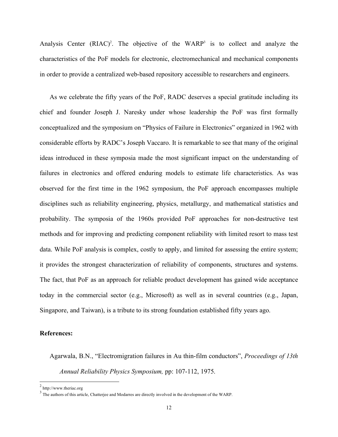Analysis Center  $(RIAC)^2$ . The objective of the WARP<sup>3</sup> is to collect and analyze the characteristics of the PoF models for electronic, electromechanical and mechanical components in order to provide a centralized web-based repository accessible to researchers and engineers.

As we celebrate the fifty years of the PoF, RADC deserves a special gratitude including its chief and founder Joseph J. Naresky under whose leadership the PoF was first formally conceptualized and the symposium on "Physics of Failure in Electronics" organized in 1962 with considerable efforts by RADC's Joseph Vaccaro. It is remarkable to see that many of the original ideas introduced in these symposia made the most significant impact on the understanding of failures in electronics and offered enduring models to estimate life characteristics. As was observed for the first time in the 1962 symposium, the PoF approach encompasses multiple disciplines such as reliability engineering, physics, metallurgy, and mathematical statistics and probability. The symposia of the 1960s provided PoF approaches for non-destructive test methods and for improving and predicting component reliability with limited resort to mass test data. While PoF analysis is complex, costly to apply, and limited for assessing the entire system; it provides the strongest characterization of reliability of components, structures and systems. The fact, that PoF as an approach for reliable product development has gained wide acceptance today in the commercial sector (e.g., Microsoft) as well as in several countries (e.g., Japan, Singapore, and Taiwan), is a tribute to its strong foundation established fifty years ago.

## **References:**

Agarwala, B.N., "Electromigration failures in Au thin-film conductors", *Proceedings of 13th Annual Reliability Physics Symposium,* pp: 107-112, 1975.

 $^{2}$  http://www.theriac.org

 $3 \text{ The authors of this article, Chatterjee and Modarres are directly involved in the development of the WARP.}$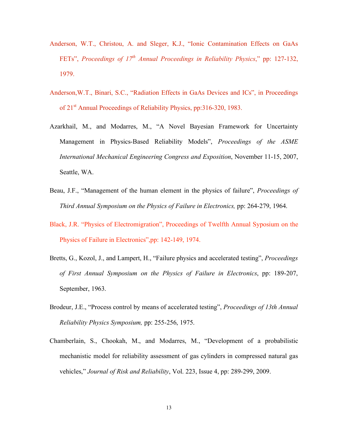- Anderson, W.T., Christou, A. and Sleger, K.J., "Ionic Contamination Effects on GaAs FETs", *Proceedings of 17<sup>th</sup> Annual Proceedings in Reliability Physics*," pp: 127-132, 1979.
- Anderson,W.T., Binari, S.C., "Radiation Effects in GaAs Devices and ICs", in Proceedings of 21st Annual Proceedings of Reliability Physics, pp:316-320, 1983.
- Azarkhail, M., and Modarres, M., "A Novel Bayesian Framework for Uncertainty Management in Physics-Based Reliability Models", *Proceedings of the ASME International Mechanical Engineering Congress and Exposition*, November 11-15, 2007, Seattle, WA.
- Beau, J.F., "Management of the human element in the physics of failure", *Proceedings of Third Annual Symposium on the Physics of Failure in Electronics,* pp: 264-279, 1964.
- Black, J.R. "Physics of Electromigration", Proceedings of Twelfth Annual Syposium on the Physics of Failure in Electronics",pp: 142-149, 1974.
- Bretts, G., Kozol, J., and Lampert, H., "Failure physics and accelerated testing", *Proceedings of First Annual Symposium on the Physics of Failure in Electronics*, pp: 189-207, September, 1963.
- Brodeur, J.E., "Process control by means of accelerated testing", *Proceedings of 13th Annual Reliability Physics Symposium,* pp: 255-256, 1975.
- Chamberlain, S., Chookah, M., and Modarres, M., "Development of a probabilistic mechanistic model for reliability assessment of gas cylinders in compressed natural gas vehicles," *Journal of Risk and Reliability*, Vol. 223, Issue 4, pp: 289-299, 2009.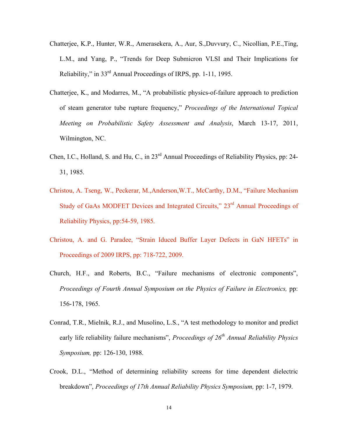- Chatterjee, K.P., Hunter, W.R., Amerasekera, A., Aur, S.,Duvvury, C., Nicollian, P.E.,Ting, L.M., and Yang, P., "Trends for Deep Submicron VLSI and Their Implications for Reliability," in 33rd Annual Proceedings of IRPS, pp. 1-11, 1995.
- Chatterjee, K., and Modarres, M., "A probabilistic physics-of-failure approach to prediction of steam generator tube rupture frequency," *Proceedings of the International Topical Meeting on Probabilistic Safety Assessment and Analysis*, March 13-17, 2011, Wilmington, NC.
- Chen, I.C., Holland, S. and Hu, C., in 23<sup>rd</sup> Annual Proceedings of Reliability Physics, pp: 24-31, 1985.
- Christou, A. Tseng, W., Peckerar, M.,Anderson,W.T., McCarthy, D.M., "Failure Mechanism Study of GaAs MODFET Devices and Integrated Circuits," 23<sup>rd</sup> Annual Proceedings of Reliability Physics, pp:54-59, 1985.
- Christou, A. and G. Paradee, "Strain Iduced Buffer Layer Defects in GaN HFETs" in Proceedings of 2009 IRPS, pp: 718-722, 2009.
- Church, H.F., and Roberts, B.C., "Failure mechanisms of electronic components", *Proceedings of Fourth Annual Symposium on the Physics of Failure in Electronics, pp:* 156-178, 1965.
- Conrad, T.R., Mielnik, R.J., and Musolino, L.S., "A test methodology to monitor and predict early life reliability failure mechanisms", *Proceedings of 26th Annual Reliability Physics Symposium,* pp: 126-130, 1988.
- Crook, D.L., "Method of determining reliability screens for time dependent dielectric breakdown", *Proceedings of 17th Annual Reliability Physics Symposium,* pp: 1-7, 1979.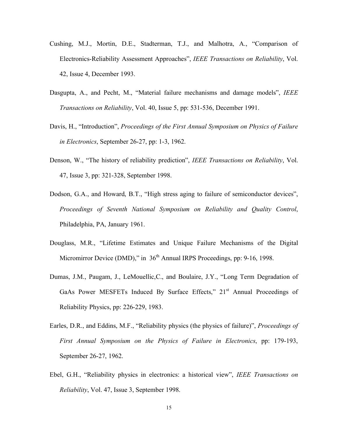- Cushing, M.J., Mortin, D.E., Stadterman, T.J., and Malhotra, A., "Comparison of Electronics-Reliability Assessment Approaches", *IEEE Transactions on Reliability*, Vol. 42, Issue 4, December 1993.
- Dasgupta, A., and Pecht, M., "Material failure mechanisms and damage models", *IEEE Transactions on Reliability*, Vol. 40, Issue 5, pp: 531-536, December 1991.
- Davis, H., "Introduction", *Proceedings of the First Annual Symposium on Physics of Failure in Electronics*, September 26-27, pp: 1-3, 1962.
- Denson, W., "The history of reliability prediction", *IEEE Transactions on Reliability*, Vol. 47, Issue 3, pp: 321-328, September 1998.
- Dodson, G.A., and Howard, B.T., "High stress aging to failure of semiconductor devices", *Proceedings of Seventh National Symposium on Reliability and Quality Control*, Philadelphia, PA, January 1961.
- Douglass, M.R., "Lifetime Estimates and Unique Failure Mechanisms of the Digital Micromirror Device (DMD)," in 36<sup>th</sup> Annual IRPS Proceedings, pp: 9-16, 1998.
- Dumas, J.M., Paugam, J., LeMouellic,C., and Boulaire, J.Y., "Long Term Degradation of GaAs Power MESFETs Induced By Surface Effects," 21<sup>st</sup> Annual Proceedings of Reliability Physics, pp: 226-229, 1983.
- Earles, D.R., and Eddins, M.F., "Reliability physics (the physics of failure)", *Proceedings of First Annual Symposium on the Physics of Failure in Electronics*, pp: 179-193, September 26-27, 1962.
- Ebel, G.H., "Reliability physics in electronics: a historical view", *IEEE Transactions on Reliability*, Vol. 47, Issue 3, September 1998.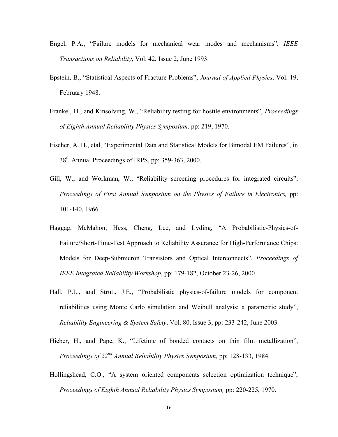- Engel, P.A., "Failure models for mechanical wear modes and mechanisms", *IEEE Transactions on Reliability*, Vol. 42, Issue 2, June 1993.
- Epstein, B., "Statistical Aspects of Fracture Problems", *Journal of Applied Physics*, Vol. 19, February 1948.
- Frankel, H., and Kinsolving, W., "Reliability testing for hostile environments", *Proceedings of Eighth Annual Reliability Physics Symposium,* pp: 219, 1970.
- Fischer, A. H., etal, "Experimental Data and Statistical Models for Bimodal EM Failures", in 38<sup>th</sup> Annual Proceedings of IRPS, pp: 359-363, 2000.
- Gill, W., and Workman, W., "Reliability screening procedures for integrated circuits", *Proceedings of First Annual Symposium on the Physics of Failure in Electronics,* pp: 101-140, 1966.
- Haggag, McMahon, Hess, Cheng, Lee, and Lyding, "A Probabilistic-Physics-of-Failure/Short-Time-Test Approach to Reliability Assurance for High-Performance Chips: Models for Deep-Submicron Transistors and Optical Interconnects", *Proceedings of IEEE Integrated Reliability Workshop*, pp: 179-182, October 23-26, 2000.
- Hall, P.L., and Strutt, J.E., "Probabilistic physics-of-failure models for component reliabilities using Monte Carlo simulation and Weibull analysis: a parametric study", *Reliability Engineering & System Safety*, Vol. 80, Issue 3, pp: 233-242, June 2003.
- Hieber, H., and Pape, K., "Lifetime of bonded contacts on thin film metallization", *Proceedings of 22nd Annual Reliability Physics Symposium,* pp: 128-133, 1984.
- Hollingshead, C.O., "A system oriented components selection optimization technique", *Proceedings of Eighth Annual Reliability Physics Symposium,* pp: 220-225, 1970.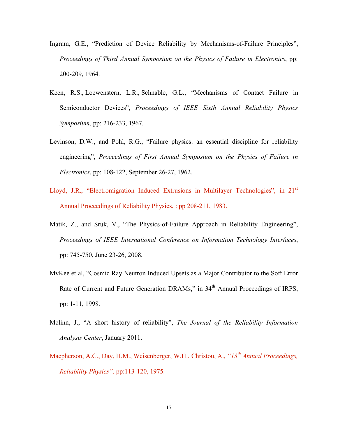- Ingram, G.E., "Prediction of Device Reliability by Mechanisms-of-Failure Principles", *Proceedings of Third Annual Symposium on the Physics of Failure in Electronics*, pp: 200-209, 1964.
- Keen, R.S., Loewenstern, L.R., Schnable, G.L., "Mechanisms of Contact Failure in Semiconductor Devices", *Proceedings of IEEE Sixth Annual Reliability Physics Symposium,* pp: 216-233, 1967.
- Levinson, D.W., and Pohl, R.G., "Failure physics: an essential discipline for reliability engineering", *Proceedings of First Annual Symposium on the Physics of Failure in Electronics*, pp: 108-122, September 26-27, 1962.
- Lloyd, J.R., "Electromigration Induced Extrusions in Multilayer Technologies", in 21<sup>st</sup> Annual Proceedings of Reliability Physics, : pp 208-211, 1983.
- Matik, Z., and Sruk, V., "The Physics-of-Failure Approach in Reliability Engineering", *Proceedings of IEEE International Conference on Information Technology Interfaces*, pp: 745-750, June 23-26, 2008.
- MvKee et al, "Cosmic Ray Neutron Induced Upsets as a Major Contributor to the Soft Error Rate of Current and Future Generation DRAMs," in 34<sup>th</sup> Annual Proceedings of IRPS, pp: 1-11, 1998.
- Mclinn, J., "A short history of reliability", *The Journal of the Reliability Information Analysis Center*, January 2011.
- Macpherson, A.C., Day, H.M., Weisenberger, W.H., Christou, A., "13<sup>th</sup> Annual Proceedings, *Reliability Physics",* pp:113-120, 1975.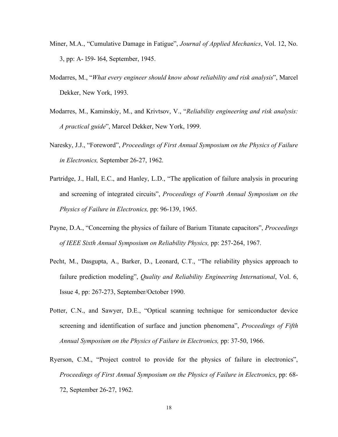- Miner, M.A., "Cumulative Damage in Fatigue", *Journal of Applied Mechanics*, Vol. 12, No. 3, pp: A- l59- l64, September, 1945.
- Modarres, M., "*What every engineer should know about reliability and risk analysis*", Marcel Dekker, New York, 1993.
- Modarres, M., Kaminskiy, M., and Krivtsov, V., "*Reliability engineering and risk analysis: A practical guide*", Marcel Dekker, New York, 1999.
- Naresky, J.J., "Foreword", *Proceedings of First Annual Symposium on the Physics of Failure in Electronics,* September 26-27, 1962.
- Partridge, J., Hall, E.C., and Hanley, L.D., "The application of failure analysis in procuring and screening of integrated circuits", *Proceedings of Fourth Annual Symposium on the Physics of Failure in Electronics,* pp: 96-139, 1965.
- Payne, D.A., "Concerning the physics of failure of Barium Titanate capacitors", *Proceedings of IEEE Sixth Annual Symposium on Reliability Physics,* pp: 257-264, 1967.
- Pecht, M., Dasgupta, A., Barker, D., Leonard, C.T., "The reliability physics approach to failure prediction modeling", *Quality and Reliability Engineering International*, Vol. 6, Issue 4, pp: 267-273, September/October 1990.
- Potter, C.N., and Sawyer, D.E., "Optical scanning technique for semiconductor device screening and identification of surface and junction phenomena", *Proceedings of Fifth Annual Symposium on the Physics of Failure in Electronics,* pp: 37-50, 1966.
- Ryerson, C.M., "Project control to provide for the physics of failure in electronics", *Proceedings of First Annual Symposium on the Physics of Failure in Electronics*, pp: 68- 72, September 26-27, 1962.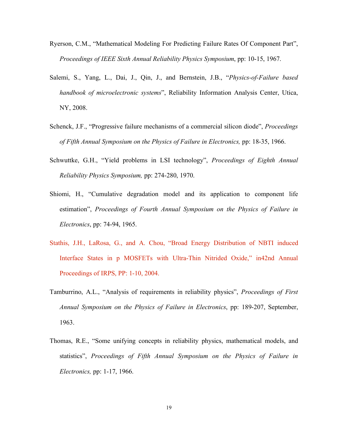- Ryerson, C.M., "Mathematical Modeling For Predicting Failure Rates Of Component Part", *Proceedings of IEEE Sixth Annual Reliability Physics Symposium*, pp: 10-15, 1967.
- Salemi, S., Yang, L., Dai, J., Qin, J., and Bernstein, J.B., "*Physics-of-Failure based handbook of microelectronic systems*", Reliability Information Analysis Center, Utica, NY, 2008.
- Schenck, J.F., "Progressive failure mechanisms of a commercial silicon diode", *Proceedings of Fifth Annual Symposium on the Physics of Failure in Electronics,* pp: 18-35, 1966.
- Schwuttke, G.H., "Yield problems in LSI technology", *Proceedings of Eighth Annual Reliability Physics Symposium,* pp: 274-280, 1970.
- Shiomi, H., "Cumulative degradation model and its application to component life estimation", *Proceedings of Fourth Annual Symposium on the Physics of Failure in Electronics*, pp: 74-94, 1965.
- Stathis, J.H., LaRosa, G., and A. Chou, "Broad Energy Distribution of NBTI induced Interface States in p MOSFETs with Ultra-Thin Nitrided Oxide," in42nd Annual Proceedings of IRPS, PP: 1-10, 2004.
- Tamburrino, A.L., "Analysis of requirements in reliability physics", *Proceedings of First Annual Symposium on the Physics of Failure in Electronics*, pp: 189-207, September, 1963.
- Thomas, R.E., "Some unifying concepts in reliability physics, mathematical models, and statistics", *Proceedings of Fifth Annual Symposium on the Physics of Failure in Electronics,* pp: 1-17, 1966.